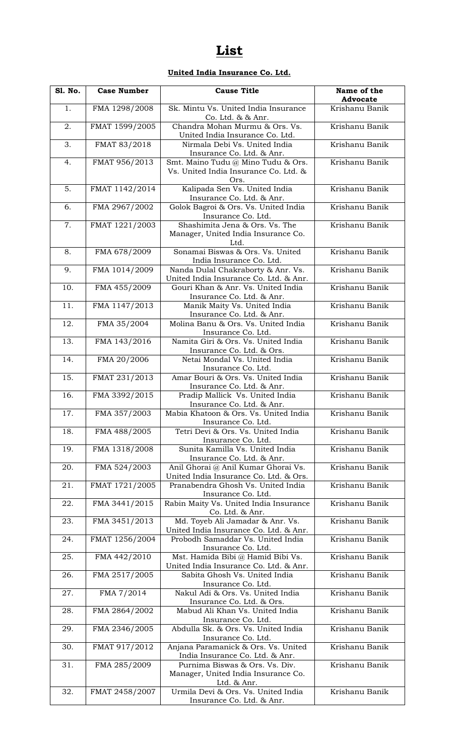# **List**

# **United India Insurance Co. Ltd.**

| <b>S1. No.</b> | <b>Case Number</b> | <b>Cause Title</b>                                                                   | Name of the<br><b>Advocate</b> |
|----------------|--------------------|--------------------------------------------------------------------------------------|--------------------------------|
| 1.             | FMA 1298/2008      | Sk. Mintu Vs. United India Insurance<br>Co. Ltd. & & Anr.                            | Krishanu Banik                 |
| 2.             | FMAT 1599/2005     | Chandra Mohan Murmu & Ors. Vs.<br>United India Insurance Co. Ltd.                    | Krishanu Banik                 |
| 3.             | FMAT 83/2018       | Nirmala Debi Vs. United India<br>Insurance Co. Ltd. & Anr.                           | Krishanu Banik                 |
| 4.             | FMAT 956/2013      | Smt. Maino Tudu @ Mino Tudu & Ors.<br>Vs. United India Insurance Co. Ltd. &          | Krishanu Banik                 |
|                |                    | Ors.                                                                                 |                                |
| 5.             | FMAT 1142/2014     | Kalipada Sen Vs. United India<br>Insurance Co. Ltd. & Anr.                           | Krishanu Banik                 |
| 6.             | FMA 2967/2002      | Golok Bagroi & Ors. Vs. United India<br>Insurance Co. Ltd.                           | Krishanu Banik                 |
| 7.             | FMAT 1221/2003     | Shashimita Jena & Ors. Vs. The<br>Manager, United India Insurance Co.<br>Ltd.        | Krishanu Banik                 |
| 8.             | FMA 678/2009       | Sonamai Biswas & Ors. Vs. United<br>India Insurance Co. Ltd.                         | Krishanu Banik                 |
| 9.             | FMA 1014/2009      | Nanda Dulal Chakraborty & Anr. Vs.<br>United India Insurance Co. Ltd. & Anr.         | Krishanu Banik                 |
| 10.            | FMA 455/2009       | Gouri Khan & Anr. Vs. United India<br>Insurance Co. Ltd. & Anr.                      | Krishanu Banik                 |
| 11.            | FMA 1147/2013      | Manik Maity Vs. United India<br>Insurance Co. Ltd. & Anr.                            | Krishanu Banik                 |
| 12.            | FMA 35/2004        | Molina Banu & Ors. Vs. United India<br>Insurance Co. Ltd.                            | Krishanu Banik                 |
| 13.            | FMA 143/2016       | Namita Giri & Ors. Vs. United India<br>Insurance Co. Ltd. & Ors.                     | Krishanu Banik                 |
| 14.            | FMA 20/2006        | Netai Mondal Vs. United India<br>Insurance Co. Ltd.                                  | Krishanu Banik                 |
| 15.            | FMAT 231/2013      | Amar Bouri & Ors. Vs. United India<br>Insurance Co. Ltd. & Anr.                      | Krishanu Banik                 |
| 16.            | FMA 3392/2015      | Pradip Mallick Vs. United India<br>Insurance Co. Ltd. & Anr.                         | Krishanu Banik                 |
| 17.            | FMA 357/2003       | Mabia Khatoon & Ors. Vs. United India<br>Insurance Co. Ltd.                          | Krishanu Banik                 |
| 18.            | FMA 488/2005       | Tetri Devi & Ors. Vs. United India<br>Insurance Co. Ltd.                             | Krishanu Banik                 |
| 19.            | FMA 1318/2008      | Sunita Kamilla Vs. United India<br>Insurance Co. Ltd. & Anr.                         | Krishanu Banik                 |
| 20.            | FMA 524/2003       | Anil Ghorai @ Anil Kumar Ghorai Vs.<br>United India Insurance Co. Ltd. & Ors.        | Krishanu Banik                 |
| 21.            | FMAT 1721/2005     | Pranabendra Ghosh Vs. United India<br>Insurance Co. Ltd.                             | Krishanu Banik                 |
| 22.            | FMA 3441/2015      | Rabin Maity Vs. United India Insurance<br>Co. Ltd. & Anr.                            | Krishanu Banik                 |
| 23.            | FMA 3451/2013      | Md. Toyeb Ali Jamadar & Anr. Vs.<br>United India Insurance Co. Ltd. & Anr.           | Krishanu Banik                 |
| 24.            | FMAT 1256/2004     | Probodh Samaddar Vs. United India<br>Insurance Co. Ltd.                              | Krishanu Banik                 |
| 25.            | FMA 442/2010       | Mst. Hamida Bibi @ Hamid Bibi Vs.<br>United India Insurance Co. Ltd. & Anr.          | Krishanu Banik                 |
| 26.            | FMA 2517/2005      | Sabita Ghosh Vs. United India<br>Insurance Co. Ltd.                                  | Krishanu Banik                 |
| 27.            | FMA 7/2014         | Nakul Adi & Ors. Vs. United India<br>Insurance Co. Ltd. & Ors.                       | Krishanu Banik                 |
| 28.            | FMA 2864/2002      | Mabud Ali Khan Vs. United India<br>Insurance Co. Ltd.                                | Krishanu Banik                 |
| 29.            | FMA 2346/2005      | Abdulla Sk. & Ors. Vs. United India<br>Insurance Co. Ltd.                            | Krishanu Banik                 |
| 30.            | FMAT 917/2012      | Anjana Paramanick & Ors. Vs. United<br>India Insurance Co. Ltd. & Anr.               | Krishanu Banik                 |
| 31.            | FMA 285/2009       | Purnima Biswas & Ors. Vs. Div.<br>Manager, United India Insurance Co.<br>Ltd. & Anr. | Krishanu Banik                 |
| 32.            | FMAT 2458/2007     | Urmila Devi & Ors. Vs. United India<br>Insurance Co. Ltd. & Anr.                     | Krishanu Banik                 |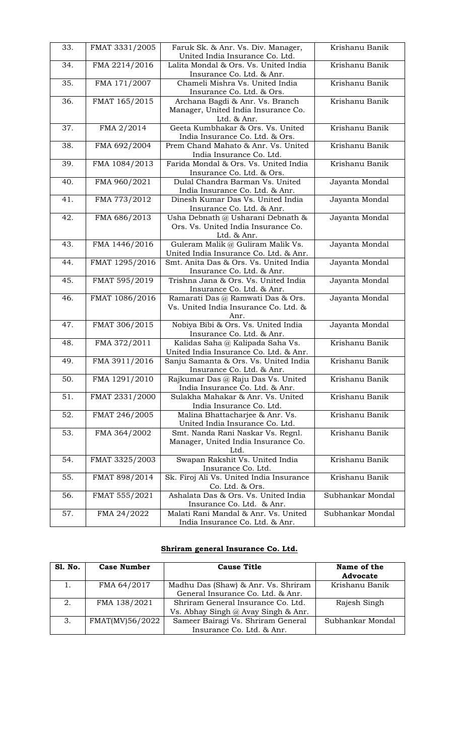| 33. | FMAT 3331/2005 | Faruk Sk. & Anr. Vs. Div. Manager,<br>United India Insurance Co. Ltd.                   | Krishanu Banik   |
|-----|----------------|-----------------------------------------------------------------------------------------|------------------|
| 34. | FMA 2214/2016  | Lalita Mondal & Ors. Vs. United India<br>Insurance Co. Ltd. & Anr.                      | Krishanu Banik   |
| 35. | FMA 171/2007   | Chameli Mishra Vs. United India<br>Insurance Co. Ltd. & Ors.                            | Krishanu Banik   |
| 36. | FMAT 165/2015  | Archana Bagdi & Anr. Vs. Branch<br>Manager, United India Insurance Co.<br>Ltd. & Anr.   | Krishanu Banik   |
| 37. | FMA 2/2014     | Geeta Kumbhakar & Ors. Vs. United<br>India Insurance Co. Ltd. & Ors.                    | Krishanu Banik   |
| 38. | FMA 692/2004   | Prem Chand Mahato & Anr. Vs. United<br>India Insurance Co. Ltd.                         | Krishanu Banik   |
| 39. | FMA 1084/2013  | Farida Mondal & Ors. Vs. United India<br>Insurance Co. Ltd. & Ors.                      | Krishanu Banik   |
| 40. | FMA 960/2021   | Dulal Chandra Barman Vs. United<br>India Insurance Co. Ltd. & Anr.                      | Jayanta Mondal   |
| 41. | FMA 773/2012   | Dinesh Kumar Das Vs. United India<br>Insurance Co. Ltd. & Anr.                          | Jayanta Mondal   |
| 42. | FMA 686/2013   | Usha Debnath @ Usharani Debnath &<br>Ors. Vs. United India Insurance Co.<br>Ltd. & Anr. | Jayanta Mondal   |
| 43. | FMA 1446/2016  | Guleram Malik @ Guliram Malik Vs.<br>United India Insurance Co. Ltd. & Anr.             | Jayanta Mondal   |
| 44. | FMAT 1295/2016 | Smt. Anita Das & Ors. Vs. United India<br>Insurance Co. Ltd. & Anr.                     | Jayanta Mondal   |
| 45. | FMAT 595/2019  | Trishna Jana & Ors. Vs. United India<br>Insurance Co. Ltd. & Anr.                       | Jayanta Mondal   |
| 46. | FMAT 1086/2016 | Ramarati Das @ Ramwati Das & Ors.<br>Vs. United India Insurance Co. Ltd. &<br>Anr.      | Jayanta Mondal   |
| 47. | FMAT 306/2015  | Nobiya Bibi & Ors. Vs. United India<br>Insurance Co. Ltd. & Anr.                        | Jayanta Mondal   |
| 48. | FMA 372/2011   | Kalidas Saha @ Kalipada Saha Vs.<br>United India Insurance Co. Ltd. & Anr.              | Krishanu Banik   |
| 49. | FMA 3911/2016  | Sanju Samanta & Ors. Vs. United India<br>Insurance Co. Ltd. & Anr.                      | Krishanu Banik   |
| 50. | FMA 1291/2010  | Rajkumar Das @ Raju Das Vs. United<br>India Insurance Co. Ltd. & Anr.                   | Krishanu Banik   |
| 51. | FMAT 2331/2000 | Sulakha Mahakar & Anr. Vs. United<br>India Insurance Co. Ltd.                           | Krishanu Banik   |
| 52. | FMAT 246/2005  | Malina Bhattacharjee & Anr. Vs.<br>United India Insurance Co. Ltd.                      | Krishanu Banik   |
| 53. | FMA 364/2002   | Smt. Nanda Rani Naskar Vs. Regnl.<br>Manager, United India Insurance Co.<br>Ltd.        | Krishanu Banik   |
| 54. | FMAT 3325/2003 | Swapan Rakshit Vs. United India<br>Insurance Co. Ltd.                                   | Krishanu Banik   |
| 55. | FMAT 898/2014  | Sk. Firoj Ali Vs. United India Insurance<br>Co. Ltd. & Ors.                             | Krishanu Banik   |
| 56. | FMAT 555/2021  | Ashalata Das & Ors. Vs. United India<br>Insurance Co. Ltd. & Anr.                       | Subhankar Mondal |
| 57. | FMA 24/2022    | Malati Rani Mandal & Anr. Vs. United<br>India Insurance Co. Ltd. & Anr.                 | Subhankar Mondal |

## **Shriram general Insurance Co. Ltd.**

| Sl. No. | <b>Case Number</b> | <b>Cause Title</b>                  | Name of the<br><b>Advocate</b> |
|---------|--------------------|-------------------------------------|--------------------------------|
|         | FMA 64/2017        | Madhu Das (Shaw) & Anr. Vs. Shriram | Krishanu Banik                 |
|         |                    | General Insurance Co. Ltd. & Anr.   |                                |
| 2.      | FMA 138/2021       | Shriram General Insurance Co. Ltd.  | Rajesh Singh                   |
|         |                    | Vs. Abhay Singh @ Avay Singh & Anr. |                                |
| 3.      | FMAT(MV)56/2022    | Sameer Bairagi Vs. Shriram General  | Subhankar Mondal               |
|         |                    | Insurance Co. Ltd. & Anr.           |                                |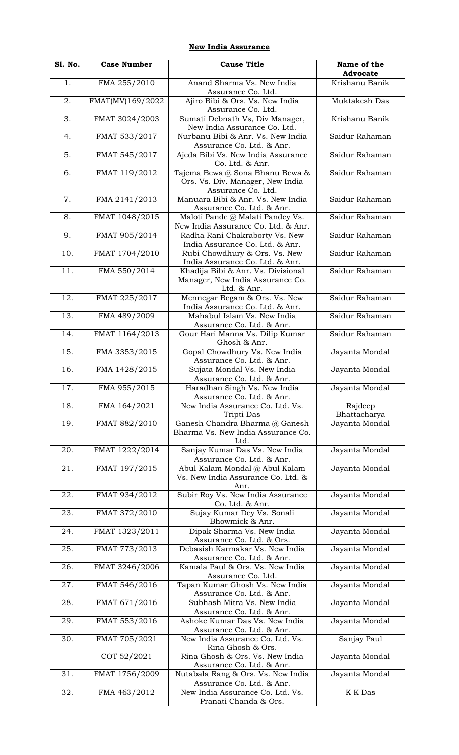#### **New India Assurance**

| <b>S1. No.</b>    | <b>Case Number</b> | <b>Cause Title</b>                                                                        | Name of the<br><b>Advocate</b> |
|-------------------|--------------------|-------------------------------------------------------------------------------------------|--------------------------------|
| 1.                | FMA 255/2010       | Anand Sharma Vs. New India<br>Assurance Co. Ltd.                                          | Krishanu Banik                 |
| 2.                | FMAT(MV)169/2022   | Ajiro Bibi & Ors. Vs. New India<br>Assurance Co. Ltd.                                     | Muktakesh Das                  |
| 3.                | FMAT 3024/2003     | Sumati Debnath Vs, Div Manager,<br>New India Assurance Co. Ltd.                           | Krishanu Banik                 |
| 4.                | FMAT 533/2017      | Nurbanu Bibi & Anr. Vs. New India<br>Assurance Co. Ltd. & Anr.                            | Saidur Rahaman                 |
| 5.                | FMAT 545/2017      | Ajeda Bibi Vs. New India Assurance<br>Co. Ltd. & Anr.                                     | Saidur Rahaman                 |
| 6.                | FMAT 119/2012      | Tajema Bewa @ Sona Bhanu Bewa &<br>Ors. Vs. Div. Manager, New India<br>Assurance Co. Ltd. | Saidur Rahaman                 |
| 7.                | FMA 2141/2013      | Manuara Bibi & Anr. Vs. New India<br>Assurance Co. Ltd. & Anr.                            | Saidur Rahaman                 |
| 8.                | FMAT 1048/2015     | Maloti Pande @ Malati Pandey Vs.<br>New India Assurance Co. Ltd. & Anr.                   | Saidur Rahaman                 |
| 9.                | FMAT 905/2014      | Radha Rani Chakraborty Vs. New<br>India Assurance Co. Ltd. & Anr.                         | Saidur Rahaman                 |
| 10.               | FMAT 1704/2010     | Rubi Chowdhury & Ors. Vs. New<br>India Assurance Co. Ltd. & Anr.                          | Saidur Rahaman                 |
| 11.               | FMA 550/2014       | Khadija Bibi & Anr. Vs. Divisional<br>Manager, New India Assurance Co.<br>Ltd. & Anr.     | Saidur Rahaman                 |
| 12.               | FMAT 225/2017      | Mennegar Begam & Ors. Vs. New<br>India Assurance Co. Ltd. & Anr.                          | Saidur Rahaman                 |
| 13.               | FMA 489/2009       | Mahabul Islam Vs. New India<br>Assurance Co. Ltd. & Anr.                                  | Saidur Rahaman                 |
| 14.               | FMAT 1164/2013     | Gour Hari Manna Vs. Dilip Kumar<br>Ghosh & Anr.                                           | Saidur Rahaman                 |
| $\overline{15}$ . | FMA 3353/2015      | Gopal Chowdhury Vs. New India<br>Assurance Co. Ltd. & Anr.                                | Jayanta Mondal                 |
| 16.               | FMA 1428/2015      | Sujata Mondal Vs. New India<br>Assurance Co. Ltd. & Anr.                                  | Jayanta Mondal                 |
| 17.               | FMA 955/2015       | Haradhan Singh Vs. New India<br>Assurance Co. Ltd. & Anr.                                 | Jayanta Mondal                 |
| 18.               | FMA 164/2021       | New India Assurance Co. Ltd. Vs.<br>Tripti Das                                            | Rajdeep<br>Bhattacharya        |
| 19.               | FMAT 882/2010      | Ganesh Chandra Bharma @ Ganesh<br>Bharma Vs. New India Assurance Co.<br>Ltd.              | Jayanta Mondal                 |
| 20.               | FMAT 1222/2014     | Sanjay Kumar Das Vs. New India<br>Assurance Co. Ltd. & Anr.                               | Jayanta Mondal                 |
| 21.               | FMAT 197/2015      | Abul Kalam Mondal @ Abul Kalam<br>Vs. New India Assurance Co. Ltd. &<br>Anr.              | Jayanta Mondal                 |
| 22.               | FMAT 934/2012      | Subir Roy Vs. New India Assurance<br>Co. Ltd. & Anr.                                      | Jayanta Mondal                 |
| 23.               | FMAT 372/2010      | Sujay Kumar Dey Vs. Sonali<br>Bhowmick & Anr.                                             | Jayanta Mondal                 |
| 24.               | FMAT 1323/2011     | Dipak Sharma Vs. New India<br>Assurance Co. Ltd. & Ors.                                   | Jayanta Mondal                 |
| 25.               | FMAT 773/2013      | Debasish Karmakar Vs. New India<br>Assurance Co. Ltd. & Anr.                              | Jayanta Mondal                 |
| 26.               | FMAT 3246/2006     | Kamala Paul & Ors. Vs. New India<br>Assurance Co. Ltd.                                    | Jayanta Mondal                 |
| 27.               | FMAT 546/2016      | Tapan Kumar Ghosh Vs. New India<br>Assurance Co. Ltd. & Anr.                              | Jayanta Mondal                 |
| 28.               | FMAT 671/2016      | Subhash Mitra Vs. New India<br>Assurance Co. Ltd. & Anr.                                  | Jayanta Mondal                 |
| 29.               | FMAT 553/2016      | Ashoke Kumar Das Vs. New India<br>Assurance Co. Ltd. & Anr.                               | Jayanta Mondal                 |
| 30.               | FMAT 705/2021      | New India Assurance Co. Ltd. Vs.<br>Rina Ghosh & Ors.                                     | Sanjay Paul                    |
|                   | COT 52/2021        | Rina Ghosh & Ors. Vs. New India<br>Assurance Co. Ltd. & Anr.                              | Jayanta Mondal                 |
| 31.               | FMAT 1756/2009     | Nutabala Rang & Ors. Vs. New India<br>Assurance Co. Ltd. & Anr.                           | Jayanta Mondal                 |
| 32.               | FMA 463/2012       | New India Assurance Co. Ltd. Vs.<br>Pranati Chanda & Ors.                                 | K K Das                        |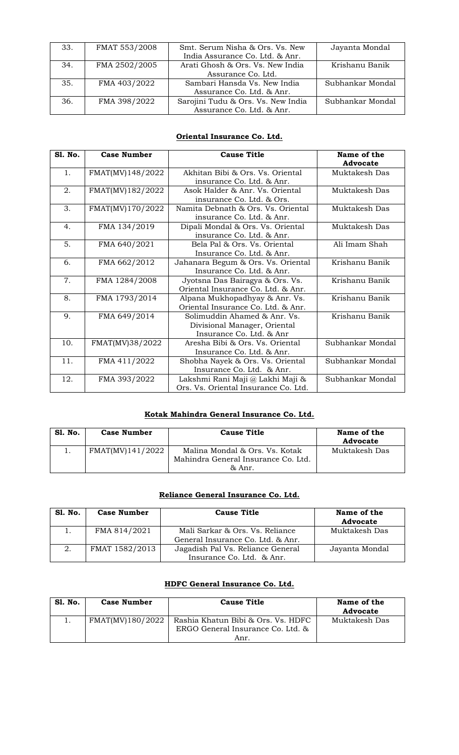| 33. | FMAT 553/2008 | Smt. Serum Nisha & Ors. Vs. New    | Jayanta Mondal   |
|-----|---------------|------------------------------------|------------------|
|     |               | India Assurance Co. Ltd. & Anr.    |                  |
| 34. | FMA 2502/2005 | Arati Ghosh & Ors. Vs. New India   | Krishanu Banik   |
|     |               | Assurance Co. Ltd.                 |                  |
| 35. | FMA 403/2022  | Sambari Hansda Vs. New India       | Subhankar Mondal |
|     |               | Assurance Co. Ltd. & Anr.          |                  |
| 36. | FMA 398/2022  | Sarojini Tudu & Ors. Vs. New India | Subhankar Mondal |
|     |               | Assurance Co. Ltd. & Anr.          |                  |

#### **Oriental Insurance Co. Ltd.**

| <b>S1. No.</b> | <b>Case Number</b> | <b>Cause Title</b>                   | Name of the      |
|----------------|--------------------|--------------------------------------|------------------|
|                |                    |                                      | <b>Advocate</b>  |
| 1.             | FMAT(MV)148/2022   | Akhitan Bibi & Ors. Vs. Oriental     | Muktakesh Das    |
|                |                    | insurance Co. Ltd. & Anr.            |                  |
| 2.             | FMAT(MV)182/2022   | Asok Halder & Anr. Vs. Oriental      | Muktakesh Das    |
|                |                    | insurance Co. Ltd. & Ors.            |                  |
| 3.             | FMAT(MV)170/2022   | Namita Debnath & Ors. Vs. Oriental   | Muktakesh Das    |
|                |                    | insurance Co. Ltd. & Anr.            |                  |
| 4.             | FMA 134/2019       | Dipali Mondal & Ors. Vs. Oriental    | Muktakesh Das    |
|                |                    | insurance Co. Ltd. & Anr.            |                  |
| 5.             | FMA 640/2021       | Bela Pal & Ors. Vs. Oriental         | Ali Imam Shah    |
|                |                    | Insurance Co. Ltd. & Anr.            |                  |
| 6.             | FMA 662/2012       | Jahanara Begum & Ors. Vs. Oriental   | Krishanu Banik   |
|                |                    | Insurance Co. Ltd. & Anr.            |                  |
| 7.             | FMA 1284/2008      | Jyotsna Das Bairagya & Ors. Vs.      | Krishanu Banik   |
|                |                    | Oriental Insurance Co. Ltd. & Anr.   |                  |
| 8.             | FMA 1793/2014      | Alpana Mukhopadhyay & Anr. Vs.       | Krishanu Banik   |
|                |                    | Oriental Insurance Co. Ltd. & Anr.   |                  |
| 9.             | FMA 649/2014       | Solimuddin Ahamed & Anr. Vs.         | Krishanu Banik   |
|                |                    | Divisional Manager, Oriental         |                  |
|                |                    | Insurance Co. Ltd. & Anr             |                  |
| 10.            | FMAT(MV)38/2022    | Aresha Bibi & Ors. Vs. Oriental      | Subhankar Mondal |
|                |                    | Insurance Co. Ltd. & Anr.            |                  |
| 11.            | FMA 411/2022       | Shobha Nayek & Ors. Vs. Oriental     | Subhankar Mondal |
|                |                    | Insurance Co. Ltd. & Anr.            |                  |
| 12.            | FMA 393/2022       | Lakshmi Rani Maji @ Lakhi Maji &     | Subhankar Mondal |
|                |                    | Ors. Vs. Oriental Insurance Co. Ltd. |                  |

## **Kotak Mahindra General Insurance Co. Ltd.**

| <b>Sl. No.</b> | <b>Case Number</b> | <b>Cause Title</b>                  | Name of the<br>Advocate |
|----------------|--------------------|-------------------------------------|-------------------------|
|                | FMAT(MV)141/2022   | Malina Mondal & Ors. Vs. Kotak      | Muktakesh Das           |
|                |                    | Mahindra General Insurance Co. Ltd. |                         |
|                |                    | & Anr.                              |                         |

### **Reliance General Insurance Co. Ltd.**

| Sl. No. | <b>Case Number</b> | <b>Cause Title</b>                                                   | Name of the<br>Advocate |
|---------|--------------------|----------------------------------------------------------------------|-------------------------|
|         | FMA 814/2021       | Mali Sarkar & Ors. Vs. Reliance<br>General Insurance Co. Ltd. & Anr. | Muktakesh Das           |
|         | FMAT 1582/2013     | Jagadish Pal Vs. Reliance General<br>Insurance Co. Ltd. & Anr.       | Jayanta Mondal          |

#### **HDFC General Insurance Co. Ltd.**

| S1. No. | <b>Case Number</b> | <b>Cause Title</b>                                                      | Name of the<br>Advocate |
|---------|--------------------|-------------------------------------------------------------------------|-------------------------|
|         | FMAT(MV)180/2022   | Rashia Khatun Bibi & Ors. Vs. HDFC<br>ERGO General Insurance Co. Ltd. & | Muktakesh Das           |
|         |                    | Anr.                                                                    |                         |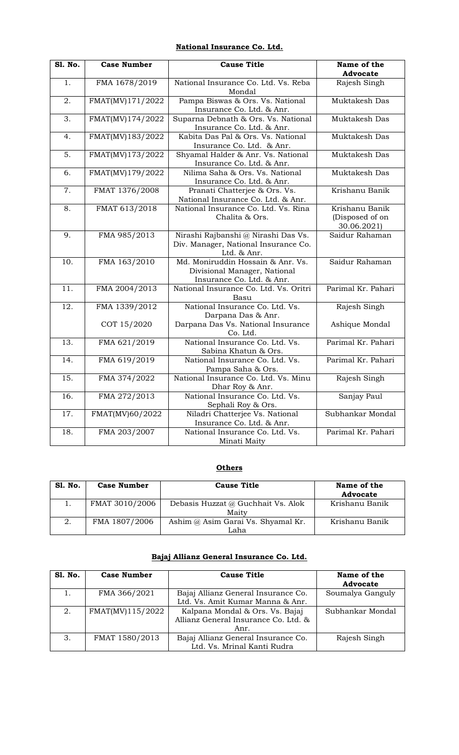#### **National Insurance Co. Ltd.**

| <b>S1. No.</b>    | <b>Case Number</b> | <b>Cause Title</b>                                                                             | Name of the<br><b>Advocate</b>                   |
|-------------------|--------------------|------------------------------------------------------------------------------------------------|--------------------------------------------------|
| $\overline{1}$ .  | FMA 1678/2019      | National Insurance Co. Ltd. Vs. Reba<br>Mondal                                                 | Rajesh Singh                                     |
| 2.                | FMAT(MV)171/2022   | Pampa Biswas & Ors. Vs. National<br>Insurance Co. Ltd. & Anr.                                  | Muktakesh Das                                    |
| $\overline{3}$ .  | FMAT(MV)174/2022   | Suparna Debnath & Ors. Vs. National<br>Insurance Co. Ltd. & Anr.                               | Muktakesh Das                                    |
| 4.                | FMAT(MV)183/2022   | Kabita Das Pal & Ors. Vs. National<br>Insurance Co. Ltd. & Anr.                                | Muktakesh Das                                    |
| 5.                | FMAT(MV)173/2022   | Shyamal Halder & Anr. Vs. National<br>Insurance Co. Ltd. & Anr.                                | Muktakesh Das                                    |
| 6.                | FMAT(MV)179/2022   | Nilima Saha & Ors. Vs. National<br>Insurance Co. Ltd. & Anr.                                   | Muktakesh Das                                    |
| 7.                | FMAT 1376/2008     | Pranati Chatterjee & Ors. Vs.<br>National Insurance Co. Ltd. & Anr.                            | Krishanu Banik                                   |
| 8.                | FMAT 613/2018      | National Insurance Co. Ltd. Vs. Rina<br>Chalita & Ors.                                         | Krishanu Banik<br>(Disposed of on<br>30.06.2021) |
| 9.                | FMA 985/2013       | Nirashi Rajbanshi @ Nirashi Das Vs.<br>Div. Manager, National Insurance Co.<br>Ltd. & Anr.     | Saidur Rahaman                                   |
| 10.               | FMA 163/2010       | Md. Moniruddin Hossain & Anr. Vs.<br>Divisional Manager, National<br>Insurance Co. Ltd. & Anr. | Saidur Rahaman                                   |
| 11.               | FMA 2004/2013      | National Insurance Co. Ltd. Vs. Oritri<br>Basu                                                 | Parimal Kr. Pahari                               |
| 12.               | FMA 1339/2012      | National Insurance Co. Ltd. Vs.<br>Darpana Das & Anr.                                          | Rajesh Singh                                     |
|                   | COT 15/2020        | Darpana Das Vs. National Insurance<br>Co. Ltd.                                                 | Ashique Mondal                                   |
| $\overline{13}$ . | FMA 621/2019       | National Insurance Co. Ltd. Vs.<br>Sabina Khatun & Ors.                                        | Parimal Kr. Pahari                               |
| $\overline{14}$ . | FMA 619/2019       | National Insurance Co. Ltd. Vs.<br>Pampa Saha & Ors.                                           | Parimal Kr. Pahari                               |
| $\overline{15}$ . | FMA 374/2022       | National Insurance Co. Ltd. Vs. Minu<br>Dhar Roy & Anr.                                        | Rajesh Singh                                     |
| 16.               | FMA 272/2013       | National Insurance Co. Ltd. Vs.<br>Sephali Roy & Ors.                                          | Sanjay Paul                                      |
| 17.               | FMAT(MV)60/2022    | Niladri Chatterjee Vs. National<br>Insurance Co. Ltd. & Anr.                                   | Subhankar Mondal                                 |
| 18.               | FMA 203/2007       | National Insurance Co. Ltd. Vs.<br>Minati Maity                                                | Parimal Kr. Pahari                               |

#### **Others**

| Sl. No. | <b>Case Number</b> | <b>Cause Title</b>                          | Name of the<br>Advocate |
|---------|--------------------|---------------------------------------------|-------------------------|
|         | FMAT 3010/2006     | Debasis Huzzat @ Guchhait Vs. Alok<br>Maity | Krishanu Banik          |
| 2.      | FMA 1807/2006      | Ashim @ Asim Garai Vs. Shyamal Kr.<br>Laha  | Krishanu Banik          |

#### **Bajaj Allianz General Insurance Co. Ltd.**

| <b>S1. No.</b> | <b>Case Number</b> | <b>Cause Title</b>                   | Name of the      |
|----------------|--------------------|--------------------------------------|------------------|
|                |                    |                                      | <b>Advocate</b>  |
|                | FMA 366/2021       | Bajaj Allianz General Insurance Co.  | Soumalya Ganguly |
|                |                    | Ltd. Vs. Amit Kumar Manna & Anr.     |                  |
| 2.             | FMAT(MV)115/2022   | Kalpana Mondal & Ors. Vs. Bajaj      | Subhankar Mondal |
|                |                    | Allianz General Insurance Co. Ltd. & |                  |
|                |                    | Anr.                                 |                  |
| 3.             | FMAT 1580/2013     | Bajaj Allianz General Insurance Co.  | Rajesh Singh     |
|                |                    | Ltd. Vs. Mrinal Kanti Rudra          |                  |